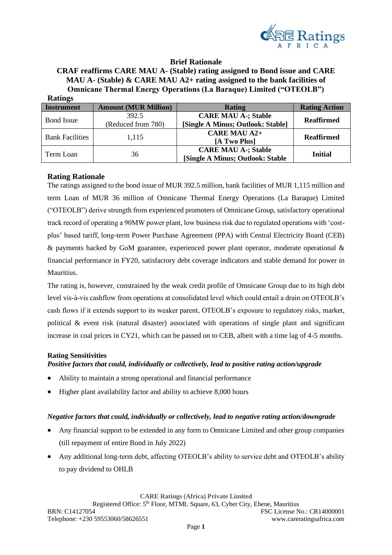

# **Brief Rationale**

## **CRAF reaffirms CARE MAU A- (Stable) rating assigned to Bond issue and CARE MAU A- (Stable) & CARE MAU A2+ rating assigned to the bank facilities of Omnicane Thermal Energy Operations (La Baraque) Limited ("OTEOLB") Ratings**

| $\bullet$<br>Instrument | <b>Amount (MUR Million)</b> | <b>Rating</b>                     | <b>Rating Action</b> |  |  |
|-------------------------|-----------------------------|-----------------------------------|----------------------|--|--|
| <b>Bond Issue</b>       | 392.5                       | <b>CARE MAU A-; Stable</b>        | <b>Reaffirmed</b>    |  |  |
|                         | (Reduced from 780)          | [Single A Minus; Outlook: Stable] |                      |  |  |
| <b>Bank Facilities</b>  | 1.115                       | <b>CARE MAU A2+</b>               | <b>Reaffirmed</b>    |  |  |
|                         |                             | [A Two Plus]                      |                      |  |  |
| Term Loan               | 36                          | <b>CARE MAU A-; Stable</b>        | <b>Initial</b>       |  |  |
|                         |                             | [Single A Minus; Outlook: Stable  |                      |  |  |

# **Rating Rationale**

The ratings assigned to the bond issue of MUR 392.5 million, bank facilities of MUR 1,115 million and term Loan of MUR 36 million of Omnicane Thermal Energy Operations (La Baraque) Limited ("OTEOLB") derive strength from experienced promoters of Omnicane Group, satisfactory operational track record of operating a 90MW power plant, low business risk due to regulated operations with 'costplus' based tariff, long-term Power Purchase Agreement (PPA) with Central Electricity Board (CEB) & payments backed by GoM guarantee, experienced power plant operator, moderate operational & financial performance in FY20, satisfactory debt coverage indicators and stable demand for power in Mauritius.

The rating is, however, constrained by the weak credit profile of Omnicane Group due to its high debt level vis-à-vis cashflow from operations at consolidated level which could entail a drain on OTEOLB's cash flows if it extends support to its weaker parent, OTEOLB's exposure to regulatory risks, market, political & event risk (natural disaster) associated with operations of single plant and significant increase in coal prices in CY21, which can be passed on to CEB, albeit with a time lag of 4-5 months.

### **Rating Sensitivities**

*Positive factors that could, individually or collectively, lead to positive rating action/upgrade*

- Ability to maintain a strong operational and financial performance
- Higher plant availability factor and ability to achieve 8,000 hours

## *Negative factors that could, individually or collectively, lead to negative rating action/downgrade*

- Any financial support to be extended in any form to Omnicane Limited and other group companies (till repayment of entire Bond in July 2022)
- Any additional long-term debt, affecting OTEOLB's ability to service debt and OTEOLB's ability to pay dividend to OHLB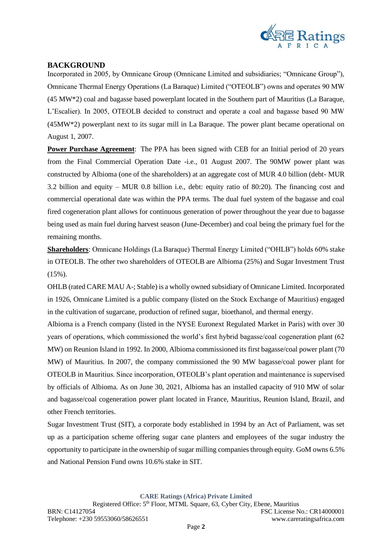

# **BACKGROUND**

Incorporated in 2005, by Omnicane Group (Omnicane Limited and subsidiaries; "Omnicane Group"), Omnicane Thermal Energy Operations (La Baraque) Limited ("OTEOLB") owns and operates 90 MW (45 MW\*2) coal and bagasse based powerplant located in the Southern part of Mauritius (La Baraque, L'Escalier). In 2005, OTEOLB decided to construct and operate a coal and bagasse based 90 MW (45MW\*2) powerplant next to its sugar mill in La Baraque. The power plant became operational on August 1, 2007.

**Power Purchase Agreement:** The PPA has been signed with CEB for an Initial period of 20 years from the Final Commercial Operation Date -i.e., 01 August 2007. The 90MW power plant was constructed by Albioma (one of the shareholders) at an aggregate cost of MUR 4.0 billion (debt- MUR 3.2 billion and equity – MUR 0.8 billion i.e., debt: equity ratio of 80:20). The financing cost and commercial operational date was within the PPA terms. The dual fuel system of the bagasse and coal fired cogeneration plant allows for continuous generation of power throughout the year due to bagasse being used as main fuel during harvest season (June-December) and coal being the primary fuel for the remaining months.

**Shareholders**: Omnicane Holdings (La Baraque) Thermal Energy Limited ("OHLB") holds 60% stake in OTEOLB. The other two shareholders of OTEOLB are Albioma (25%) and Sugar Investment Trust (15%).

OHLB (rated CARE MAU A-; Stable) is a wholly owned subsidiary of Omnicane Limited. Incorporated in 1926, Omnicane Limited is a public company (listed on the Stock Exchange of Mauritius) engaged in the cultivation of sugarcane, production of refined sugar, bioethanol, and thermal energy.

Albioma is a French company (listed in the NYSE Euronext Regulated Market in Paris) with over 30 years of operations, which commissioned the world's first hybrid bagasse/coal cogeneration plant (62 MW) on Reunion Island in 1992. In 2000, Albioma commissioned its first bagasse/coal power plant (70 MW) of Mauritius. In 2007, the company commissioned the 90 MW bagasse/coal power plant for OTEOLB in Mauritius. Since incorporation, OTEOLB's plant operation and maintenance is supervised by officials of Albioma. As on June 30, 2021, Albioma has an installed capacity of 910 MW of solar and bagasse/coal cogeneration power plant located in France, Mauritius, Reunion Island, Brazil, and other French territories.

Sugar Investment Trust (SIT), a corporate body established in 1994 by an Act of Parliament, was set up as a participation scheme offering sugar cane planters and employees of the sugar industry the opportunity to participate in the ownership of sugar milling companies through equity. GoM owns 6.5% and National Pension Fund owns 10.6% stake in SIT.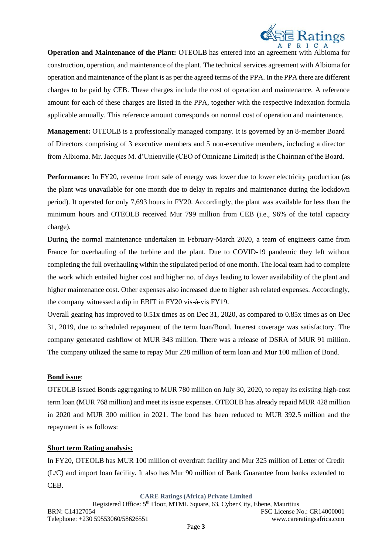

**Operation and Maintenance of the Plant:** OTEOLB has entered into an agreement with Albioma for construction, operation, and maintenance of the plant. The technical services agreement with Albioma for operation and maintenance of the plant is as per the agreed terms of the PPA. In the PPA there are different charges to be paid by CEB. These charges include the cost of operation and maintenance. A reference amount for each of these charges are listed in the PPA, together with the respective indexation formula applicable annually. This reference amount corresponds on normal cost of operation and maintenance.

**Management:** OTEOLB is a professionally managed company. It is governed by an 8-member Board of Directors comprising of 3 executive members and 5 non-executive members, including a director from Albioma. Mr. Jacques M. d'Unienville (CEO of Omnicane Limited) is the Chairman of the Board.

**Performance:** In FY20, revenue from sale of energy was lower due to lower electricity production (as the plant was unavailable for one month due to delay in repairs and maintenance during the lockdown period). It operated for only 7,693 hours in FY20. Accordingly, the plant was available for less than the minimum hours and OTEOLB received Mur 799 million from CEB (i.e., 96% of the total capacity charge).

During the normal maintenance undertaken in February-March 2020, a team of engineers came from France for overhauling of the turbine and the plant. Due to COVID-19 pandemic they left without completing the full overhauling within the stipulated period of one month. The local team had to complete the work which entailed higher cost and higher no. of days leading to lower availability of the plant and higher maintenance cost. Other expenses also increased due to higher ash related expenses. Accordingly, the company witnessed a dip in EBIT in FY20 vis-à-vis FY19.

Overall gearing has improved to 0.51x times as on Dec 31, 2020, as compared to 0.85x times as on Dec 31, 2019, due to scheduled repayment of the term loan/Bond. Interest coverage was satisfactory. The company generated cashflow of MUR 343 million. There was a release of DSRA of MUR 91 million. The company utilized the same to repay Mur 228 million of term loan and Mur 100 million of Bond.

### **Bond issue**:

OTEOLB issued Bonds aggregating to MUR 780 million on July 30, 2020, to repay its existing high-cost term loan (MUR 768 million) and meet its issue expenses. OTEOLB has already repaid MUR 428 million in 2020 and MUR 300 million in 2021. The bond has been reduced to MUR 392.5 million and the repayment is as follows:

### **Short term Rating analysis:**

In FY20, OTEOLB has MUR 100 million of overdraft facility and Mur 325 million of Letter of Credit (L/C) and import loan facility. It also has Mur 90 million of Bank Guarantee from banks extended to CEB.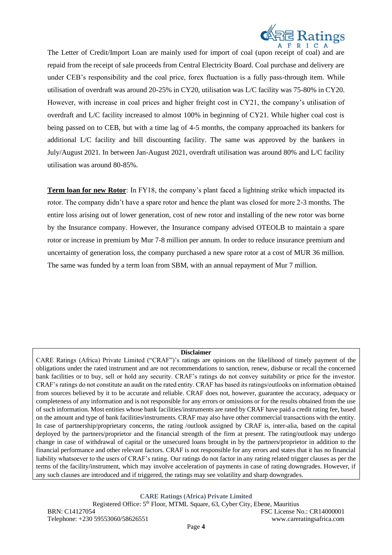

The Letter of Credit/Import Loan are mainly used for import of coal (upon receipt of coal) and are repaid from the receipt of sale proceeds from Central Electricity Board. Coal purchase and delivery are under CEB's responsibility and the coal price, forex fluctuation is a fully pass-through item. While utilisation of overdraft was around 20-25% in CY20, utilisation was L/C facility was 75-80% in CY20. However, with increase in coal prices and higher freight cost in CY21, the company's utilisation of overdraft and L/C facility increased to almost 100% in beginning of CY21. While higher coal cost is being passed on to CEB, but with a time lag of 4-5 months, the company approached its bankers for additional L/C facility and bill discounting facility. The same was approved by the bankers in July/August 2021. In between Jan-August 2021, overdraft utilisation was around 80% and L/C facility utilisation was around 80-85%.

**Term loan for new Rotor**: In FY18, the company's plant faced a lightning strike which impacted its rotor. The company didn't have a spare rotor and hence the plant was closed for more 2-3 months. The entire loss arising out of lower generation, cost of new rotor and installing of the new rotor was borne by the Insurance company. However, the Insurance company advised OTEOLB to maintain a spare rotor or increase in premium by Mur 7-8 million per annum. In order to reduce insurance premium and uncertainty of generation loss, the company purchased a new spare rotor at a cost of MUR 36 million. The same was funded by a term loan from SBM, with an annual repayment of Mur 7 million.

#### **Disclaimer**

CARE Ratings (Africa) Private Limited ("CRAF")'s ratings are opinions on the likelihood of timely payment of the obligations under the rated instrument and are not recommendations to sanction, renew, disburse or recall the concerned bank facilities or to buy, sell or hold any security. CRAF's ratings do not convey suitability or price for the investor. CRAF's ratings do not constitute an audit on the rated entity. CRAF has based its ratings/outlooks on information obtained from sources believed by it to be accurate and reliable. CRAF does not, however, guarantee the accuracy, adequacy or completeness of any information and is not responsible for any errors or omissions or for the results obtained from the use of such information. Most entities whose bank facilities/instruments are rated by CRAF have paid a credit rating fee, based on the amount and type of bank facilities/instruments. CRAF may also have other commercial transactions with the entity. In case of partnership/proprietary concerns, the rating /outlook assigned by CRAF is, inter-alia, based on the capital deployed by the partners/proprietor and the financial strength of the firm at present. The rating/outlook may undergo change in case of withdrawal of capital or the unsecured loans brought in by the partners/proprietor in addition to the financial performance and other relevant factors. CRAF is not responsible for any errors and states that it has no financial liability whatsoever to the users of CRAF's rating. Our ratings do not factor in any rating related trigger clauses as per the terms of the facility/instrument, which may involve acceleration of payments in case of rating downgrades. However, if any such clauses are introduced and if triggered, the ratings may see volatility and sharp downgrades.

**CARE Ratings (Africa) Private Limited**

Registered Office: 5<sup>th</sup> Floor, MTML Square, 63, Cyber City, Ebene, Mauritius BRN: C14127054 FSC License No.: CR14000001 Telephone: +230 59553060/58626551 www.careratingsafrica.com